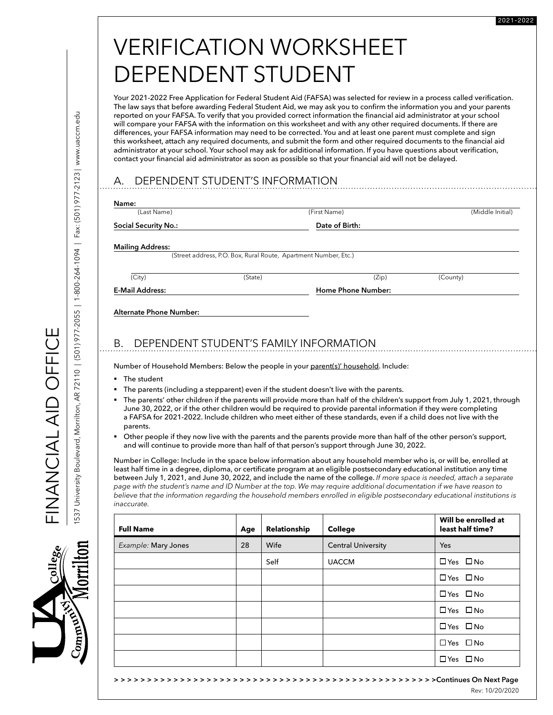# VERIFICATION WORKSHEET DEPENDENT STUDENT

Your 2021-2022 Free Application for Federal Student Aid (FAFSA) was selected for review in a process called verification. The law says that before awarding Federal Student Aid, we may ask you to confirm the information you and your parents reported on your FAFSA. To verify that you provided correct information the financial aid administrator at your school will compare your FAFSA with the information on this worksheet and with any other required documents. If there are differences, your FAFSA information may need to be corrected. You and at least one parent must complete and sign this worksheet, attach any required documents, and submit the form and other required documents to the financial aid administrator at your school. Your school may ask for additional information. If you have questions about verification, contact your financial aid administrator as soon as possible so that your financial aid will not be delayed.

# A. DEPENDENT STUDENT'S INFORMATION

| (Last Name)                   |                                                                 | (First Name)                                                                                                                                                                                                                                                                                                                                                           | (Middle Initial) |
|-------------------------------|-----------------------------------------------------------------|------------------------------------------------------------------------------------------------------------------------------------------------------------------------------------------------------------------------------------------------------------------------------------------------------------------------------------------------------------------------|------------------|
| <b>Social Security No.:</b>   |                                                                 | Date of Birth:                                                                                                                                                                                                                                                                                                                                                         |                  |
| <b>Mailing Address:</b>       |                                                                 |                                                                                                                                                                                                                                                                                                                                                                        |                  |
|                               | (Street address, P.O. Box, Rural Route, Apartment Number, Etc.) |                                                                                                                                                                                                                                                                                                                                                                        |                  |
| (City)                        | (State)                                                         | (Zip)                                                                                                                                                                                                                                                                                                                                                                  | (County)         |
| <b>E-Mail Address:</b>        |                                                                 | Home Phone Number:                                                                                                                                                                                                                                                                                                                                                     |                  |
|                               |                                                                 | DEPENDENT STUDENT'S FAMILY INFORMATION                                                                                                                                                                                                                                                                                                                                 |                  |
|                               |                                                                 | Number of Household Members: Below the people in your parent(s)' household. Include:                                                                                                                                                                                                                                                                                   |                  |
| The student                   |                                                                 |                                                                                                                                                                                                                                                                                                                                                                        |                  |
| Alternate Phone Number:<br>В. |                                                                 | The parents (including a stepparent) even if the student doesn't live with the parents.                                                                                                                                                                                                                                                                                |                  |
| parents.                      |                                                                 | The parents' other children if the parents will provide more than half of the children's support from July 1, 2021, through<br>June 30, 2022, or if the other children would be required to provide parental information if they were completing<br>a FAFSA for 2021-2022. Include children who meet either of these standards, even if a child does not live with the |                  |

least half time in a degree, diploma, or certificate program at an eligible postsecondary educational institution any time between July 1, 2021, and June 30, 2022, and include the name of the college. *If more space is needed, attach a separate page with the student's name and ID Number at the top. We may require additional documentation if we have reason to believe that the information regarding the household members enrolled in eligible postsecondary educational institutions is inaccurate.*

| <b>Full Name</b>    | Age | Relationship | College                   | Will be enrolled at<br>least half time? |
|---------------------|-----|--------------|---------------------------|-----------------------------------------|
| Example: Mary Jones | 28  | Wife         | <b>Central University</b> | Yes                                     |
|                     |     | Self         | <b>UACCM</b>              | $\Box$ Yes $\Box$ No                    |
|                     |     |              |                           | $\Box$ Yes $\Box$ No                    |
|                     |     |              |                           | $\Box$ Yes $\Box$ No                    |
|                     |     |              |                           | $\Box$ Yes $\Box$ No                    |
|                     |     |              |                           | $\Box$ Yes $\Box$ No                    |
|                     |     |              |                           | $\Box$ Yes $\Box$ No                    |
|                     |     |              |                           | $\Box$ Yes $\Box$ No                    |

FINANCIAL AID OFFICE

EINANU AIVIZAZIL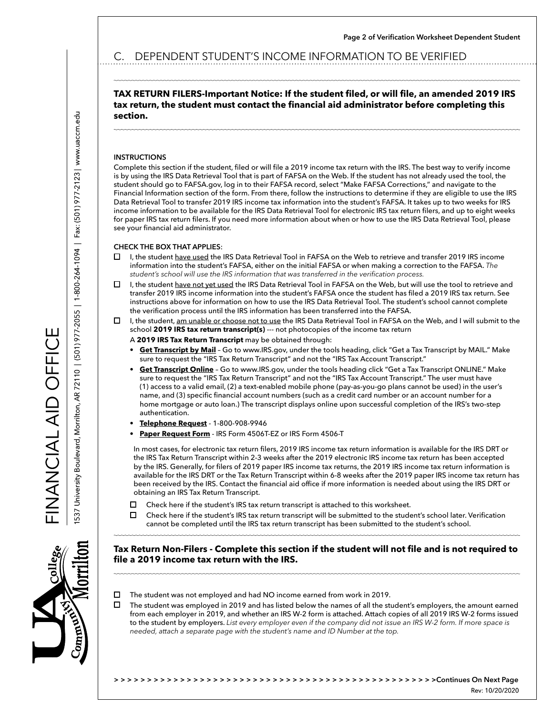**Page 2 of Verification Worksheet Dependent Student**

# C. DEPENDENT STUDENT'S INCOME INFORMATION TO BE VERIFIED

## **TAX RETURN FILERS-Important Notice: If the student filed, or will file, an amended 2019 IRS tax return, the student must contact the financial aid administrator before completing this section.**

#### **INSTRUCTIONS**

Complete this section if the student, filed or will file a 2019 income tax return with the IRS. The best way to verify income is by using the IRS Data Retrieval Tool that is part of FAFSA on the Web. If the student has not already used the tool, the student should go to FAFSA.gov, log in to their FAFSA record, select "Make FAFSA Corrections," and navigate to the Financial Information section of the form. From there, follow the instructions to determine if they are eligible to use the IRS Data Retrieval Tool to transfer 2019 IRS income tax information into the student's FAFSA. It takes up to two weeks for IRS income information to be available for the IRS Data Retrieval Tool for electronic IRS tax return filers, and up to eight weeks for paper IRS tax return filers. If you need more information about when or how to use the IRS Data Retrieval Tool, please see your financial aid administrator.

#### **CHECK THE BOX THAT APPLIES**:

- П. I, the student have used the IRS Data Retrieval Tool in FAFSA on the Web to retrieve and transfer 2019 IRS income information into the student's FAFSA, either on the initial FAFSA or when making a correction to the FAFSA. *The student's school will use the IRS information that was transferred in the verification process.*
- I, the student have not yet used the IRS Data Retrieval Tool in FAFSA on the Web, but will use the tool to retrieve and  $\Box$ transfer 2019 IRS income information into the student's FAFSA once the student has filed a 2019 IRS tax return. See instructions above for information on how to use the IRS Data Retrieval Tool. The student's school cannot complete the verification process until the IRS information has been transferred into the FAFSA.
- П. I, the student, am unable or choose not to use the IRS Data Retrieval Tool in FAFSA on the Web, and I will submit to the school 2019 IRS tax return transcript(s) --- not photocopies of the income tax return
	- A **2019 IRS Tax Return Transcript** may be obtained through:
		- **• Get Transcript by Mail** Go to www.IRS.gov, under the tools heading, click "Get a Tax Transcript by MAIL." Make sure to request the "IRS Tax Return Transcript" and not the "IRS Tax Account Transcript."
	- **• Get Transcript Online** Go to www.IRS.gov, under the tools heading click "Get a Tax Transcript ONLINE." Make sure to request the "IRS Tax Return Transcript" and not the "IRS Tax Account Transcript." The user must have (1) access to a valid email, (2) a text-enabled mobile phone (pay-as-you-go plans cannot be used) in the user's name, and (3) specific financial account numbers (such as a credit card number or an account number for a home mortgage or auto loan.) The transcript displays online upon successful completion of the IRS's two-step authentication.
	- **• Telephone Request** 1-800-908-9946
	- **• Paper Request Form** IRS Form 4506T-EZ or IRS Form 4506-T

In most cases, for electronic tax return filers, 2019 IRS income tax return information is available for the IRS DRT or the IRS Tax Return Transcript within 2-3 weeks after the 2019 electronic IRS income tax return has been accepted by the IRS. Generally, for filers of 2019 paper IRS income tax returns, the 2019 IRS income tax return information is available for the IRS DRT or the Tax Return Transcript within 6-8 weeks after the 2019 paper IRS income tax return has been received by the IRS. Contact the financial aid office if more information is needed about using the IRS DRT or obtaining an IRS Tax Return Transcript.

- $\Box$ Check here if the student's IRS tax return transcript is attached to this worksheet.
- $\Box$ Check here if the student's IRS tax return transcript will be submitted to the student's school later. Verification cannot be completed until the IRS tax return transcript has been submitted to the student's school.

## **Tax Return Non-Filers - Complete this section if the student will not file and is not required to file a 2019 income tax return with the IRS.**

- $\Box$ The student was not employed and had NO income earned from work in 2019.
- $\Box$ The student was employed in 2019 and has listed below the names of all the student's employers, the amount earned from each employer in 2019, and whether an IRS W-2 form is attached. Attach copies of all 2019 IRS W-2 forms issued to the student by employers. *List every employer even if the company did not issue an IRS W-2 form. If more space is needed, attach a separate page with the student's name and ID Number at the top.*

FINANCIAL AID OFFICE

FINANCIA IND OFFICE

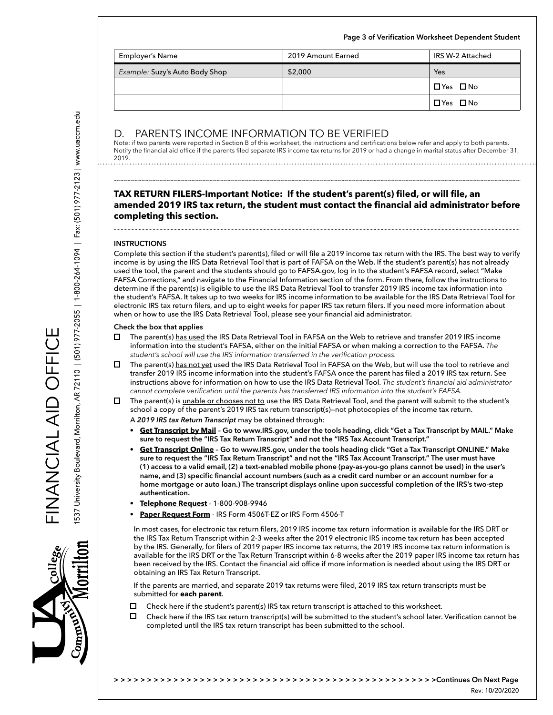| <b>Employer's Name</b>         | 2019 Amount Earned | IRS W-2 Attached     |
|--------------------------------|--------------------|----------------------|
| Example: Suzy's Auto Body Shop | \$2,000            | Yes                  |
|                                |                    | $\Box$ Yes $\Box$ No |
|                                |                    | $\Box$ Yes $\Box$ No |

**Page 3 of Verification Worksheet Dependent Student**

# D. PARENTS INCOME INFORMATION TO BE VERIFIED

Note: if two parents were reported in Section B of this worksheet, the instructions and certifications below refer and apply to both parents. Notify the financial aid office if the parents filed separate IRS income tax returns for 2019 or had a change in marital status after December 31, 2019. 

## **TAX RETURN FILERS-Important Notice: If the student's parent(s) filed, or will file, an amended 2019 IRS tax return, the student must contact the financial aid administrator before completing this section.**

#### **INSTRUCTIONS**

Complete this section if the student's parent(s), filed or will file a 2019 income tax return with the IRS. The best way to verify income is by using the IRS Data Retrieval Tool that is part of FAFSA on the Web. If the student's parent(s) has not already used the tool, the parent and the students should go to FAFSA.gov, log in to the student's FAFSA record, select "Make FAFSA Corrections," and navigate to the Financial Information section of the form. From there, follow the instructions to determine if the parent(s) is eligible to use the IRS Data Retrieval Tool to transfer 2019 IRS income tax information into the student's FAFSA. It takes up to two weeks for IRS income information to be available for the IRS Data Retrieval Tool for electronic IRS tax return filers, and up to eight weeks for paper IRS tax return filers. If you need more information about when or how to use the IRS Data Retrieval Tool, please see your financial aid administrator.

#### **Check the box that applies**

- $\Box$ The parent(s) has used the IRS Data Retrieval Tool in FAFSA on the Web to retrieve and transfer 2019 IRS income information into the student's FAFSA, either on the initial FAFSA or when making a correction to the FAFSA. *The student's school will use the IRS information transferred in the verification process.*
- □ The parent(s) has not yet used the IRS Data Retrieval Tool in FAFSA on the Web, but will use the tool to retrieve and transfer 2019 IRS income information into the student's FAFSA once the parent has filed a 2019 IRS tax return. See instructions above for information on how to use the IRS Data Retrieval Tool. *The student's financial aid administrator cannot complete verification until the parents has transferred IRS information into the student's FAFSA.*
- $\Box$ The parent(s) is unable or chooses not to use the IRS Data Retrieval Tool, and the parent will submit to the student's school a copy of the parent's 2019 IRS tax return transcript(s)—not photocopies of the income tax return.
	- A *2019 IRS tax Return Transcript* may be obtained through:
	- **• Get Transcript by Mail Go to www.IRS.gov, under the tools heading, click "Get a Tax Transcript by MAIL." Make sure to request the "IRS Tax Return Transcript" and not the "IRS Tax Account Transcript."**
	- **• Get Transcript Online Go to www.IRS.gov, under the tools heading click "Get a Tax Transcript ONLINE." Make sure to request the "IRS Tax Return Transcript" and not the "IRS Tax Account Transcript." The user must have (1) access to a valid email, (2) a text-enabled mobile phone (pay-as-you-go plans cannot be used) in the user's name, and (3) specific financial account numbers (such as a credit card number or an account number for a home mortgage or auto loan.) The transcript displays online upon successful completion of the IRS's two-step authentication.**
	- **• Telephone Request** 1-800-908-9946
	- **• Paper Request Form** IRS Form 4506T-EZ or IRS Form 4506-T

In most cases, for electronic tax return filers, 2019 IRS income tax return information is available for the IRS DRT or the IRS Tax Return Transcript within 2-3 weeks after the 2019 electronic IRS income tax return has been accepted by the IRS. Generally, for filers of 2019 paper IRS income tax returns, the 2019 IRS income tax return information is available for the IRS DRT or the Tax Return Transcript within 6-8 weeks after the 2019 paper IRS income tax return has been received by the IRS. Contact the financial aid office if more information is needed about using the IRS DRT or obtaining an IRS Tax Return Transcript.

If the parents are married, and separate 2019 tax returns were filed, 2019 IRS tax return transcripts must be submitted for **each parent**.

- П. Check here if the student's parent(s) IRS tax return transcript is attached to this worksheet.
- $\Box$ Check here if the IRS tax return transcript(s) will be submitted to the student's school later. Verification cannot be completed until the IRS tax return transcript has been submitted to the school.

FINANCIAL AID OFFICE

FINANCIA LATO DEFICE